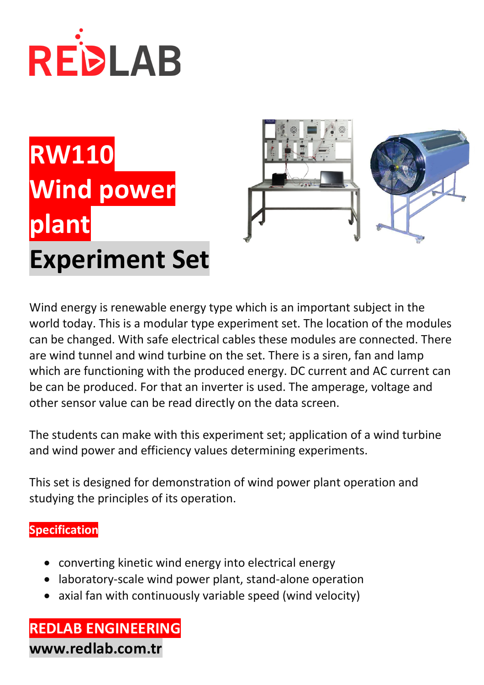

# **RW110 Wind power plant Experiment Set**



Wind energy is renewable energy type which is an important subject in the world today. This is a modular type experiment set. The location of the modules can be changed. With safe electrical cables these modules are connected. There are wind tunnel and wind turbine on the set. There is a siren, fan and lamp which are functioning with the produced energy. DC current and AC current can be can be produced. For that an inverter is used. The amperage, voltage and other sensor value can be read directly on the data screen.

The students can make with this experiment set; application of a wind turbine and wind power and efficiency values determining experiments.

This set is designed for demonstration of wind power plant operation and studying the principles of its operation.

### **Specification**

- converting kinetic wind energy into electrical energy
- laboratory-scale wind power plant, stand-alone operation
- axial fan with continuously variable speed (wind velocity)

**REDLAB ENGINEERING www.redlab.com.tr**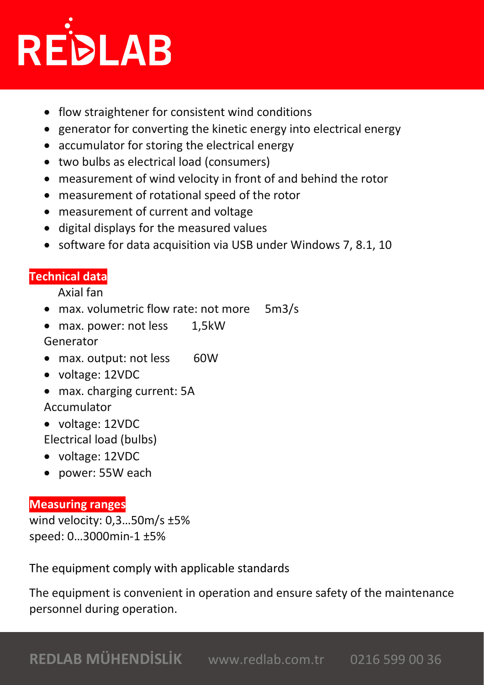

- flow straightener for consistent wind conditions
- generator for converting the kinetic energy into electrical energy
- accumulator for storing the electrical energy
- two bulbs as electrical load (consumers)
- measurement of wind velocity in front of and behind the rotor
- measurement of rotational speed of the rotor
- measurement of current and voltage
- digital displays for the measured values
- software for data acquisition via USB under Windows 7, 8.1, 10

## **Technical data**

Axial fan

- max. volumetric flow rate: not more 5m3/s
- max. power: not less 1,5kW

Generator

- max. output: not less 60W
- voltage: 12VDC
- max. charging current: 5A Accumulator
- voltage: 12VDC

Electrical load (bulbs)

- voltage: 12VDC
- power: 55W each

### **Measuring ranges**

wind velocity: 0,3…50m/s ±5% speed: 0…3000min-1 ±5%

The equipment comply with applicable standards

The equipment is convenient in operation and ensure safety of the maintenance personnel during operation.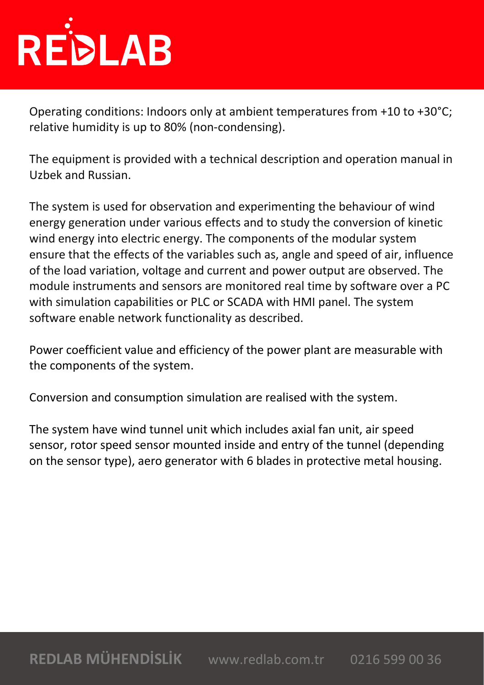# REDLAB

Operating conditions: Indoors only at ambient temperatures from +10 to +30°C; relative humidity is up to 80% (non-condensing).

The equipment is provided with a technical description and operation manual in Uzbek and Russian.

The system is used for observation and experimenting the behaviour of wind energy generation under various effects and to study the conversion of kinetic wind energy into electric energy. The components of the modular system ensure that the effects of the variables such as, angle and speed of air, influence of the load variation, voltage and current and power output are observed. The module instruments and sensors are monitored real time by software over a PC with simulation capabilities or PLC or SCADA with HMI panel. The system software enable network functionality as described.

Power coefficient value and efficiency of the power plant are measurable with the components of the system.

Conversion and consumption simulation are realised with the system.

The system have wind tunnel unit which includes axial fan unit, air speed sensor, rotor speed sensor mounted inside and entry of the tunnel (depending on the sensor type), aero generator with 6 blades in protective metal housing.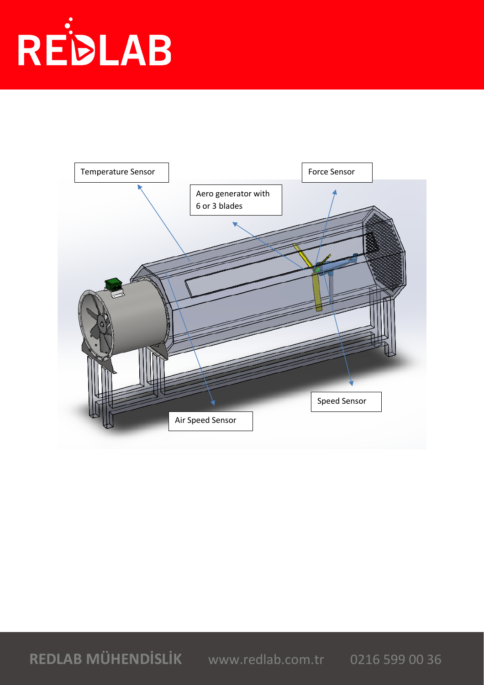

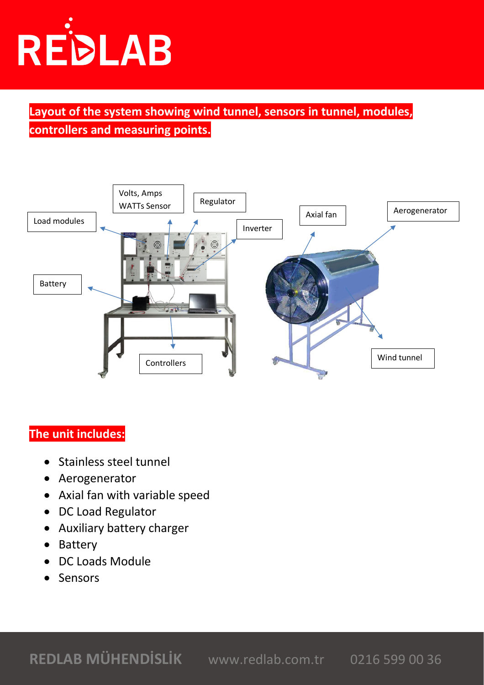

**Layout of the system showing wind tunnel, sensors in tunnel, modules, controllers and measuring points.**



#### **The unit includes:**

- Stainless steel tunnel
- Aerogenerator
- Axial fan with variable speed
- DC Load Regulator
- Auxiliary battery charger
- Battery
- DC Loads Module
- **Sensors**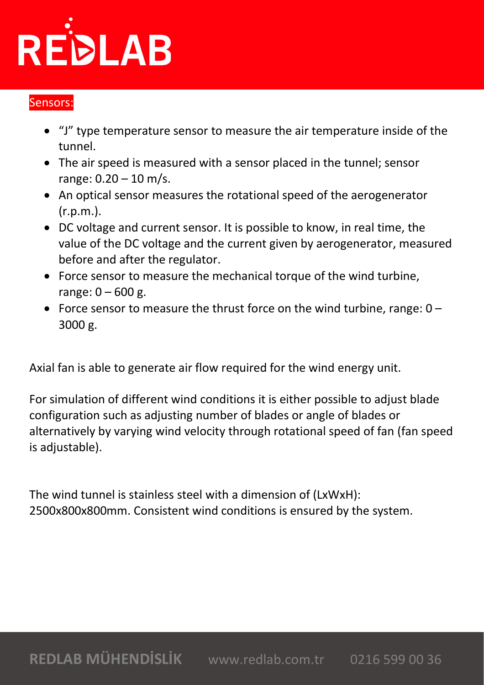# REDLAB

## Sensors:

- "J" type temperature sensor to measure the air temperature inside of the tunnel.
- The air speed is measured with a sensor placed in the tunnel; sensor range:  $0.20 - 10$  m/s.
- An optical sensor measures the rotational speed of the aerogenerator (r.p.m.).
- DC voltage and current sensor. It is possible to know, in real time, the value of the DC voltage and the current given by aerogenerator, measured before and after the regulator.
- Force sensor to measure the mechanical torque of the wind turbine, range:  $0 - 600$  g.
- Force sensor to measure the thrust force on the wind turbine, range:  $0 -$ 3000 g.

Axial fan is able to generate air flow required for the wind energy unit.

For simulation of different wind conditions it is either possible to adjust blade configuration such as adjusting number of blades or angle of blades or alternatively by varying wind velocity through rotational speed of fan (fan speed is adjustable).

The wind tunnel is stainless steel with a dimension of (LxWxH): 2500x800x800mm. Consistent wind conditions is ensured by the system.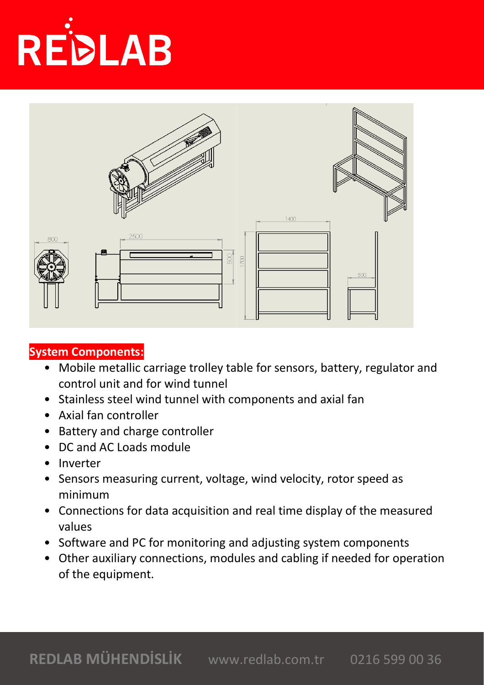



### **System Components:**

- Mobile metallic carriage trolley table for sensors, battery, regulator and control unit and for wind tunnel
- Stainless steel wind tunnel with components and axial fan
- Axial fan controller
- Battery and charge controller
- DC and AC Loads module
- Inverter
- Sensors measuring current, voltage, wind velocity, rotor speed as minimum
- Connections for data acquisition and real time display of the measured values
- Software and PC for monitoring and adjusting system components
- Other auxiliary connections, modules and cabling if needed for operation of the equipment.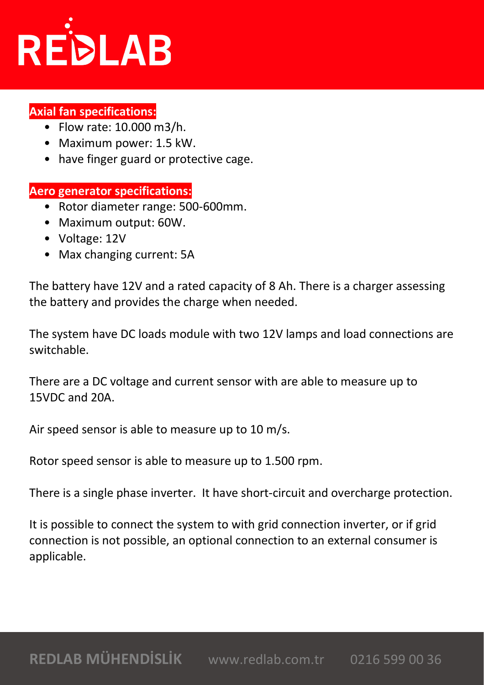

### **Axial fan specifications:**

- Flow rate: 10.000 m3/h.
- Maximum power: 1.5 kW.
- have finger guard or protective cage.

#### **Aero generator specifications:**

- Rotor diameter range: 500-600mm.
- Maximum output: 60W.
- Voltage: 12V
- Max changing current: 5A

The battery have 12V and a rated capacity of 8 Ah. There is a charger assessing the battery and provides the charge when needed.

The system have DC loads module with two 12V lamps and load connections are switchable.

There are a DC voltage and current sensor with are able to measure up to 15VDC and 20A.

Air speed sensor is able to measure up to 10 m/s.

Rotor speed sensor is able to measure up to 1.500 rpm.

There is a single phase inverter. It have short-circuit and overcharge protection.

It is possible to connect the system to with grid connection inverter, or if grid connection is not possible, an optional connection to an external consumer is applicable.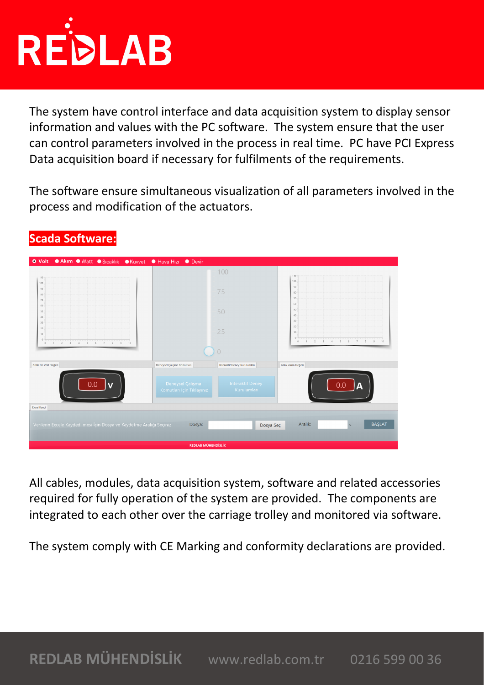

The system have control interface and data acquisition system to display sensor information and values with the PC software. The system ensure that the user can control parameters involved in the process in real time. PC have PCI Express Data acquisition board if necessary for fulfilments of the requirements.

The software ensure simultaneous visualization of all parameters involved in the process and modification of the actuators.

| ● Akim ● Watt ● Sicaklik ● Kuvvet ● Hava Hizi ● Devir<br><b>O</b> Volt                                                                          |                                               |                                        |                                                                 |
|-------------------------------------------------------------------------------------------------------------------------------------------------|-----------------------------------------------|----------------------------------------|-----------------------------------------------------------------|
| $110 -$                                                                                                                                         |                                               | 100                                    | 110                                                             |
| $100 -$<br>90 <sub>1</sub><br>$80 -$<br>70                                                                                                      |                                               | 75                                     | 100<br>90<br>80<br>70                                           |
| $60 -$<br>50 <sub>1</sub><br>$40 -$                                                                                                             |                                               | 50                                     | 60<br>50<br>40                                                  |
| 30 <sub>1</sub><br>$20 -$<br>10 <sub>1</sub>                                                                                                    |                                               | 25                                     | 30<br>20<br>10 <sub>1</sub><br>$\theta$                         |
| $\theta$<br>$\mathbf{2}$<br>$\overline{\phantom{a}}$<br>$\sim 4$<br>5<br>$\Omega$<br>6<br>$\mathcal{T}$<br>$\mathcal{S}$<br>10<br>$\mathcal{Q}$ |                                               | $\cup$                                 | 10<br>$\,0\,$<br>$\overline{2}$<br>$\mathcal{R}$<br>4<br>5<br>6 |
| Anlık Dc Volt Değeri                                                                                                                            | Deneysel Çalışma Komutları                    | Interaktif Deney Kurulumları           | Anlık Akım Değeri                                               |
| 0.0<br>$\overline{\mathbf{v}}$                                                                                                                  | Deneysel Çalışma<br>Komutları İçin Tıklayınız | <b>Interaktif Deney</b><br>Kurulumları | 0.0                                                             |
| Excel Kaydı                                                                                                                                     |                                               |                                        |                                                                 |
| Verilerin Excele Kaydedilmesi İçin Dosya ve Kaydetme Aralığı Seçiniz                                                                            | Dosya:                                        | Dosya Seç                              | <b>BAŞLAT</b><br>Aralık:<br>$\mathsf S$                         |
| <b>REDLAB MÜHENDÍSLÍK</b>                                                                                                                       |                                               |                                        |                                                                 |

### **Scada Software:**

All cables, modules, data acquisition system, software and related accessories required for fully operation of the system are provided. The components are integrated to each other over the carriage trolley and monitored via software.

The system comply with CE Marking and conformity declarations are provided.